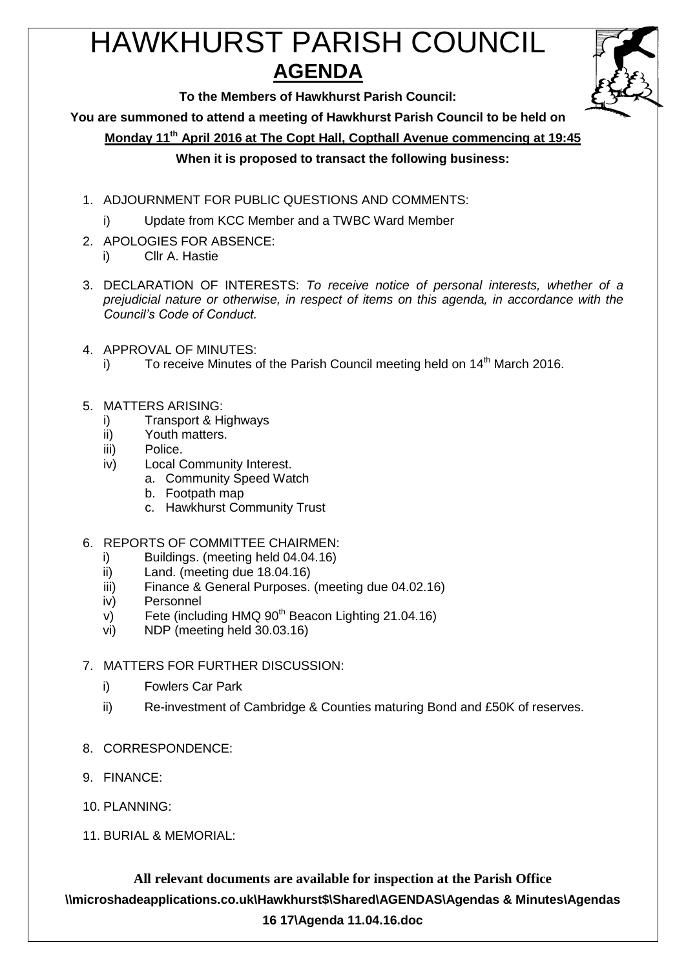# HAWKHURST PARISH COUNCIL **AGENDA**



**To the Members of Hawkhurst Parish Council:**

**You are summoned to attend a meeting of Hawkhurst Parish Council to be held on**

**Monday 11th April 2016 at The Copt Hall, Copthall Avenue commencing at 19:45**

# **When it is proposed to transact the following business:**

- 1. ADJOURNMENT FOR PUBLIC QUESTIONS AND COMMENTS:
	- i) Update from KCC Member and a TWBC Ward Member
- 2. APOLOGIES FOR ABSENCE:
	- i) Cllr A. Hastie
- 3. DECLARATION OF INTERESTS: *To receive notice of personal interests, whether of a prejudicial nature or otherwise, in respect of items on this agenda, in accordance with the Council's Code of Conduct.*
- 4. APPROVAL OF MINUTES:
	- i) To receive Minutes of the Parish Council meeting held on  $14<sup>th</sup>$  March 2016.
- 5. MATTERS ARISING:
	- i) Transport & Highways
	- ii) Youth matters.
	- iii) Police.
	- iv) Local Community Interest.
		- a. Community Speed Watch
			- b. Footpath map
			- c. Hawkhurst Community Trust
- 6. REPORTS OF COMMITTEE CHAIRMEN:
	- i) Buildings. (meeting held 04.04.16)
	- ii) Land. (meeting due 18.04.16)
	- iii) Finance & General Purposes. (meeting due 04.02.16)
	- iv) Personnel
	- $v$ ) Fete (including HMQ 90<sup>th</sup> Beacon Lighting 21.04.16)
	- vi) NDP (meeting held 30.03.16)
- 7. MATTERS FOR FURTHER DISCUSSION:
	- i) Fowlers Car Park
	- ii) Re-investment of Cambridge & Counties maturing Bond and £50K of reserves.
- 8. CORRESPONDENCE:
- 9. FINANCE:
- 10. PLANNING:
- 11. BURIAL & MEMORIAL:

**All relevant documents are available for inspection at the Parish Office \\microshadeapplications.co.uk\Hawkhurst\$\Shared\AGENDAS\Agendas & Minutes\Agendas 16 17\Agenda 11.04.16.doc**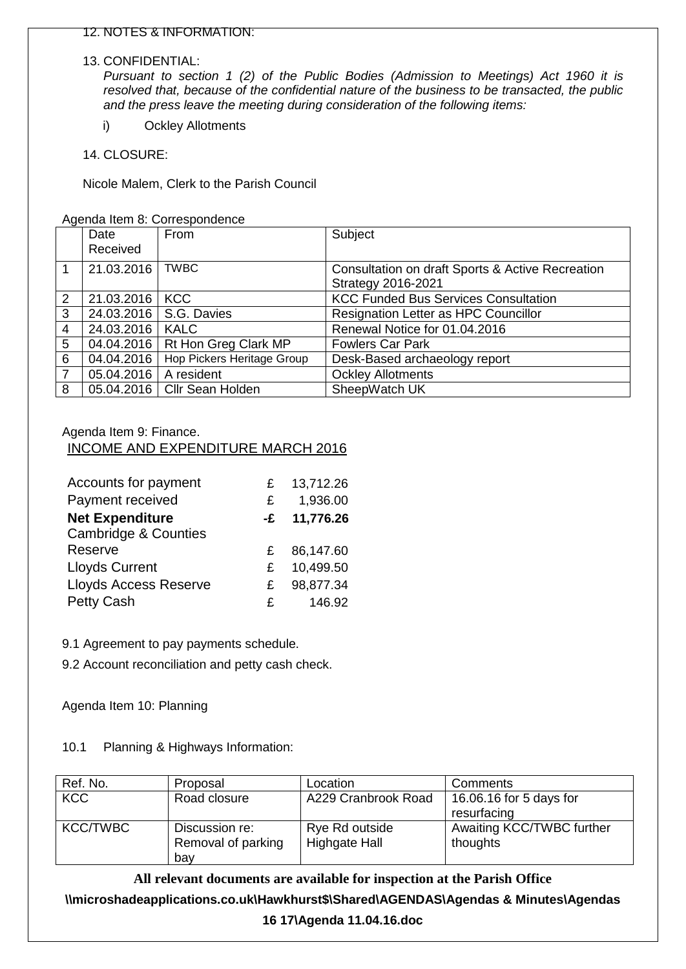#### 13. CONFIDENTIAL:

*Pursuant to section 1 (2) of the Public Bodies (Admission to Meetings) Act 1960 it is resolved that, because of the confidential nature of the business to be transacted, the public and the press leave the meeting during consideration of the following items:*

i) Ockley Allotments

14. CLOSURE:

Nicole Malem, Clerk to the Parish Council

Agenda Item 8: Correspondence

|                | Date<br>Received | From                       | Subject                                                                       |
|----------------|------------------|----------------------------|-------------------------------------------------------------------------------|
| 1              | 21.03.2016       | <b>TWBC</b>                | Consultation on draft Sports & Active Recreation<br><b>Strategy 2016-2021</b> |
| 2              | 21.03.2016       | <b>KCC</b>                 | <b>KCC Funded Bus Services Consultation</b>                                   |
| 3              | 24.03.2016       | S.G. Davies                | <b>Resignation Letter as HPC Councillor</b>                                   |
| $\overline{4}$ | 24.03.2016       | <b>KALC</b>                | Renewal Notice for 01.04.2016                                                 |
| 5              | 04.04.2016       | Rt Hon Greg Clark MP       | <b>Fowlers Car Park</b>                                                       |
| 6              | 04.04.2016       | Hop Pickers Heritage Group | Desk-Based archaeology report                                                 |
| $\overline{7}$ | 05.04.2016       | A resident                 | <b>Ockley Allotments</b>                                                      |
| 8              | 05.04.2016       | <b>Cllr Sean Holden</b>    | SheepWatch UK                                                                 |

## Agenda Item 9: Finance.

## INCOME AND EXPENDITURE MARCH 2016

| Accounts for payment            | £  | 13,712.26 |
|---------------------------------|----|-----------|
| Payment received                | £  | 1,936.00  |
| <b>Net Expenditure</b>          | -£ | 11,776.26 |
| <b>Cambridge &amp; Counties</b> |    |           |
| Reserve                         | £  | 86,147.60 |
| <b>Lloyds Current</b>           | £  | 10,499.50 |
| <b>Lloyds Access Reserve</b>    | £  | 98,877.34 |
| <b>Petty Cash</b>               | £  | 146.92    |

9.1 Agreement to pay payments schedule.

9.2 Account reconciliation and petty cash check.

Agenda Item 10: Planning

10.1 Planning & Highways Information:

| Ref. No.        | Proposal           | Location            | Comments                  |
|-----------------|--------------------|---------------------|---------------------------|
| <b>KCC</b>      | Road closure       | A229 Cranbrook Road | 16.06.16 for 5 days for   |
|                 |                    |                     | resurfacing               |
| <b>KCC/TWBC</b> | Discussion re:     | Rye Rd outside      | Awaiting KCC/TWBC further |
|                 | Removal of parking | Highgate Hall       | thoughts                  |
|                 | bav                |                     |                           |

## **All relevant documents are available for inspection at the Parish Office**

**\\microshadeapplications.co.uk\Hawkhurst\$\Shared\AGENDAS\Agendas & Minutes\Agendas** 

**16 17\Agenda 11.04.16.doc**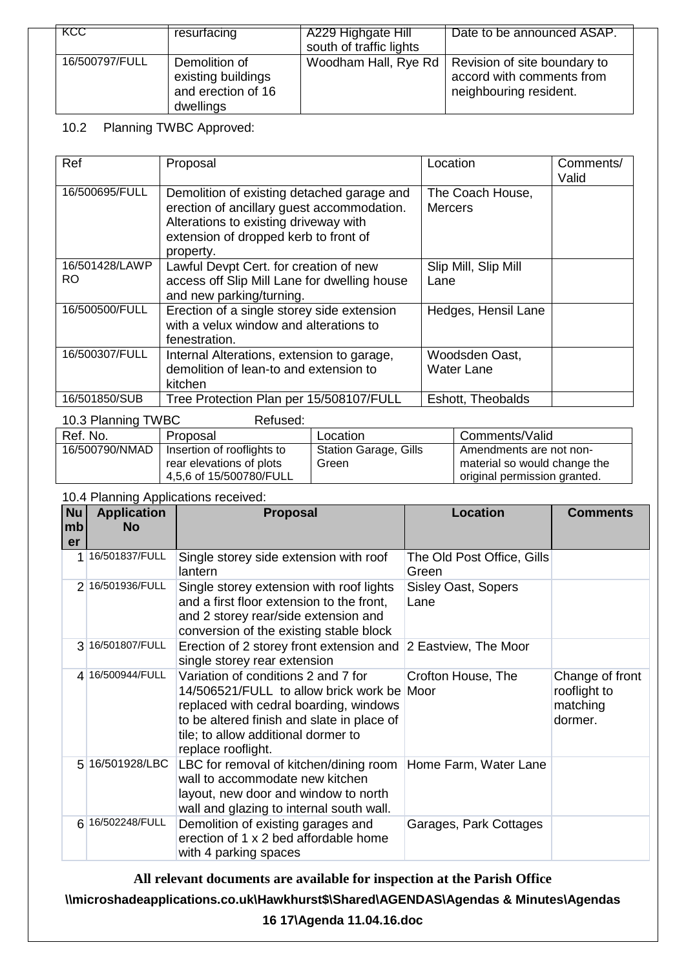| KCC.           | resurfacing                                                            | A229 Highgate Hill<br>south of traffic lights | Date to be announced ASAP.                                                                                 |
|----------------|------------------------------------------------------------------------|-----------------------------------------------|------------------------------------------------------------------------------------------------------------|
| 16/500797/FULL | Demolition of<br>existing buildings<br>and erection of 16<br>dwellings |                                               | Woodham Hall, Rye Rd   Revision of site boundary to<br>accord with comments from<br>neighbouring resident. |

## 10.2 Planning TWBC Approved:

| Ref                   | Proposal                                                                                                                                                                                | Location                            | Comments/<br>Valid |
|-----------------------|-----------------------------------------------------------------------------------------------------------------------------------------------------------------------------------------|-------------------------------------|--------------------|
| 16/500695/FULL        | Demolition of existing detached garage and<br>erection of ancillary guest accommodation.<br>Alterations to existing driveway with<br>extension of dropped kerb to front of<br>property. | The Coach House,<br><b>Mercers</b>  |                    |
| 16/501428/LAWP<br>RO. | Lawful Devpt Cert. for creation of new<br>access off Slip Mill Lane for dwelling house<br>and new parking/turning.                                                                      | Slip Mill, Slip Mill<br>Lane        |                    |
| 16/500500/FULL        | Erection of a single storey side extension<br>with a velux window and alterations to<br>fenestration.                                                                                   | Hedges, Hensil Lane                 |                    |
| 16/500307/FULL        | Internal Alterations, extension to garage,<br>demolition of lean-to and extension to<br>kitchen                                                                                         | Woodsden Oast,<br><b>Water Lane</b> |                    |
| 16/501850/SUB         | Tree Protection Plan per 15/508107/FULL                                                                                                                                                 | Eshott, Theobalds                   |                    |

| 10.3 Planning TWBC<br>Refused: |                            |                              |                              |  |
|--------------------------------|----------------------------|------------------------------|------------------------------|--|
| Ref. No.                       | Proposal                   | Location                     | Comments/Valid               |  |
| 16/500790/NMAD                 | Insertion of rooflights to | <b>Station Garage, Gills</b> | Amendments are not non-      |  |
|                                | rear elevations of plots   | Green                        | material so would change the |  |
|                                | 4,5,6 of 15/500780/FULL    |                              | original permission granted. |  |

10.4 Planning Applications received:

| <b>Nu</b><br>mb<br>er | <b>Application</b><br><b>No</b> | <b>Proposal</b>                                                                                                                                                                                                                        | <b>Location</b>                     | <b>Comments</b>                                        |
|-----------------------|---------------------------------|----------------------------------------------------------------------------------------------------------------------------------------------------------------------------------------------------------------------------------------|-------------------------------------|--------------------------------------------------------|
| 1 <sup>1</sup>        | 16/501837/FULL                  | Single storey side extension with roof<br>lantern                                                                                                                                                                                      | The Old Post Office, Gills<br>Green |                                                        |
|                       | 2 16/501936/FULL                | Single storey extension with roof lights<br>and a first floor extension to the front,<br>and 2 storey rear/side extension and<br>conversion of the existing stable block                                                               | <b>Sisley Oast, Sopers</b><br>Lane  |                                                        |
|                       | 3 16/501807/FULL                | Erection of 2 storey front extension and<br>single storey rear extension                                                                                                                                                               | 2 Eastview, The Moor                |                                                        |
|                       | 4 16/500944/FULL                | Variation of conditions 2 and 7 for<br>14/506521/FULL to allow brick work be Moor<br>replaced with cedral boarding, windows<br>to be altered finish and slate in place of<br>tile; to allow additional dormer to<br>replace rooflight. | Crofton House, The                  | Change of front<br>rooflight to<br>matching<br>dormer. |
|                       | 5 16/501928/LBC                 | LBC for removal of kitchen/dining room<br>wall to accommodate new kitchen<br>layout, new door and window to north<br>wall and glazing to internal south wall.                                                                          | Home Farm, Water Lane               |                                                        |
|                       | 6 16/502248/FULL                | Demolition of existing garages and<br>erection of 1 x 2 bed affordable home<br>with 4 parking spaces                                                                                                                                   | Garages, Park Cottages              |                                                        |

**All relevant documents are available for inspection at the Parish Office**

**\\microshadeapplications.co.uk\Hawkhurst\$\Shared\AGENDAS\Agendas & Minutes\Agendas** 

**16 17\Agenda 11.04.16.doc**